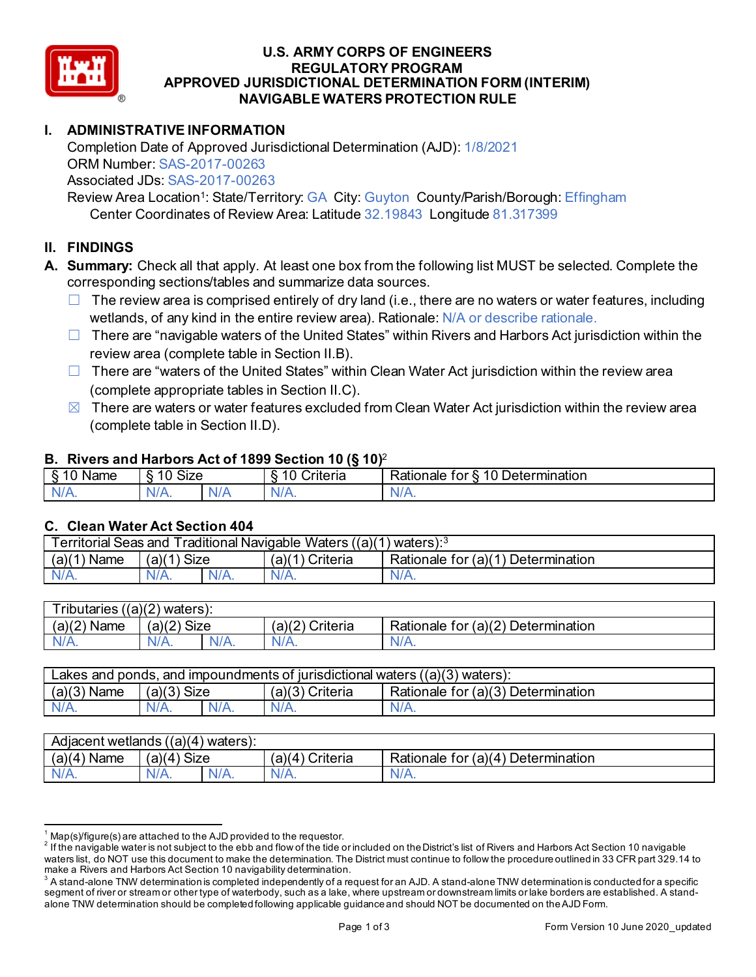

# **U.S. ARMY CORPS OF ENGINEERS REGULATORY PROGRAM APPROVED JURISDICTIONAL DETERMINATION FORM (INTERIM) NAVIGABLE WATERS PROTECTION RULE**

## **I. ADMINISTRATIVE INFORMATION**

 Completion Date of Approved Jurisdictional Determination (AJD): 1/8/2021 ORM Number: SAS-2017-00263 Associated JDs: SAS-2017-00263

 Review Area Location1: State/Territory: GA City: Guyton County/Parish/Borough: Effingham Center Coordinates of Review Area: Latitude 32.19843 Longitude 81.317399

### **II. FINDINGS**

- corresponding sections/tables and summarize data sources. **A. Summary:** Check all that apply. At least one box from the following list MUST be selected. Complete the
	- $\Box$  The review area is comprised entirely of dry land (i.e., there are no waters or water features, including wetlands, of any kind in the entire review area). Rationale: N/A or describe rationale.
	- □ There are "navigable waters of the United States" within Rivers and Harbors Act jurisdiction within the review area (complete table in Section II.B).
	- □ There are "waters of the United States" within Clean Water Act jurisdiction within the review area (complete appropriate tables in Section II.C).
	- $\boxtimes$  There are waters or water features excluded from Clean Water Act jurisdiction within the review area (complete table in Section II.D).

#### **B. Rivers and Harbors Act of 1899 Section 10 (§ 10)**<sup>2</sup>

|                     |                               |     | $\cdot$                                       |                                                          |
|---------------------|-------------------------------|-----|-----------------------------------------------|----------------------------------------------------------|
| ome<br><b>Nalie</b> | $\mathbf{\sim}$<br>10<br>SIZE |     | $\sim\cdot\cdot$<br>10<br>n<br>`riteria_<br>ິ | 10<br>∽<br>_<br><b>Jetermination</b><br>⊀ationale<br>ror |
| $N/A$ .             | $N/A$ .                       | N/A | w                                             | м.<br>VIT.                                               |
|                     |                               |     |                                               |                                                          |

#### **C. Clean Water Act Section 404**

|                |                  |         | Territorial Seas and Traditional Navigable Waters $((a)(1)$ waters): <sup>3</sup> |                                    |
|----------------|------------------|---------|-----------------------------------------------------------------------------------|------------------------------------|
| (a)(1)<br>Name | ') Size<br>(a)(1 |         | $(a)(1)$ Criteria                                                                 | Rationale for (a)(1) Determination |
| $N/A$ .        | $N/A$ .          | $N/A$ . | $N/A$ .                                                                           | N/A.                               |
|                |                  |         |                                                                                   |                                    |

| (a)(2`<br>(a)(2) Size<br>(a)(2)<br>Criteria<br>Rationale for $(a)(2)$<br>Determination<br><b>Name</b> | <b>Tributaries</b> | ((a)(2)<br>waters). |         |         |      |
|-------------------------------------------------------------------------------------------------------|--------------------|---------------------|---------|---------|------|
|                                                                                                       |                    |                     |         |         |      |
|                                                                                                       | N/A.               | N/A.                | $N/A$ . | $N/A$ . | N/A. |

|                    |               |                 | Lakes and ponds, and impoundments of jurisdictional waters $((a)(3)$ waters): |
|--------------------|---------------|-----------------|-------------------------------------------------------------------------------|
| $(a)(3)$ Name      | $(a)(3)$ Size | (a)(3) Criteria | Rationale for (a)(3) Determination                                            |
| $N/A$ .<br>$N/A$ . | $N/A$ .       | $N/A$ .         | N/A.                                                                          |

| Adjacent wetlands $((a)(4)$ waters): |                      |         |                    |                                    |
|--------------------------------------|----------------------|---------|--------------------|------------------------------------|
| (a)(4)<br>Name                       | <b>Size</b><br>(a)(4 |         | Criteria<br>(a)(4) | Rationale for (a)(4) Determination |
| $N/A$ .                              | $N/A$ .              | $N/A$ . |                    | N/A.                               |

<sup>&</sup>lt;sup>1</sup> Map(s)/figure(s) are attached to the AJD provided to the requestor.<br><sup>2</sup> If the navigable water is not subject to the ebb and flow of the tide or included on the District's list of Rivers and Harbors Act Section 10 navi waters list, do NOT use this document to make the determination. The District must continue to follow the procedure outlined in 33 CFR part 329.14 to make a Rivers and Harbors Act Section 10 navigability determination.

 segment of river or stream or other type of waterbody, such as a lake, where upstream or downstream limits or lake borders are established. A stand- $^3$  A stand-alone TNW determination is completed independently of a request for an AJD. A stand-alone TNW determination is conducted for a specific alone TNW determination should be completed following applicable guidance and should NOT be documented on the AJD Form.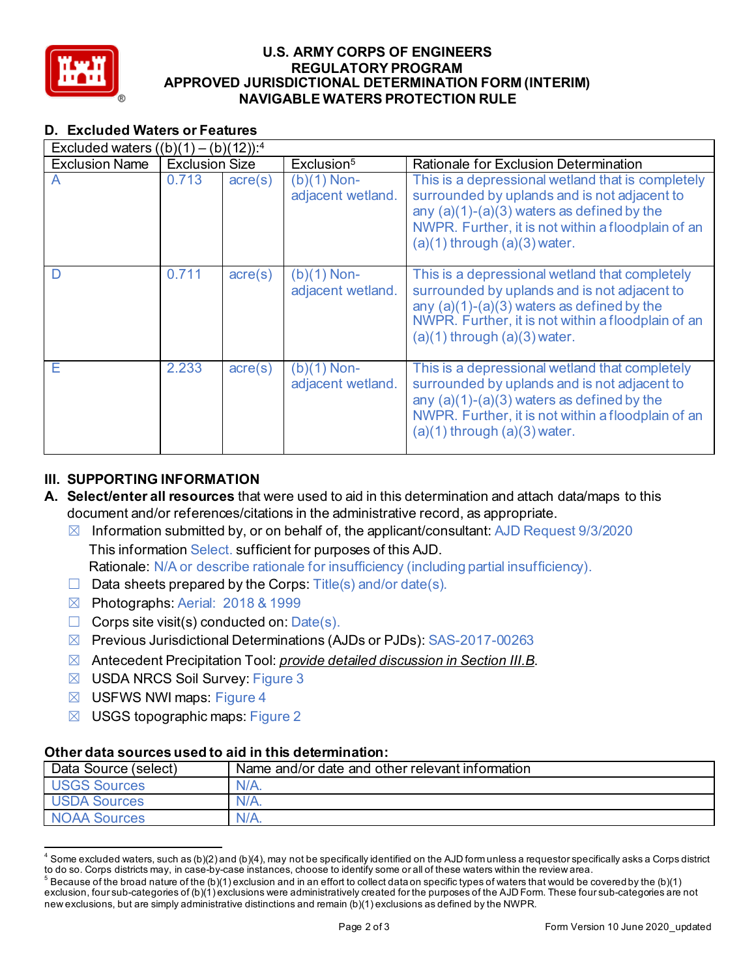

# **U.S. ARMY CORPS OF ENGINEERS REGULATORY PROGRAM APPROVED JURISDICTIONAL DETERMINATION FORM (INTERIM) NAVIGABLE WATERS PROTECTION RULE**

## **D. Excluded Waters or Features**

| D. Excluded waters or Features                      |                       |                  |                                    |                                                                                                                                                                                                                                             |
|-----------------------------------------------------|-----------------------|------------------|------------------------------------|---------------------------------------------------------------------------------------------------------------------------------------------------------------------------------------------------------------------------------------------|
| Excluded waters $((b)(1) - (b)(12))$ : <sup>4</sup> |                       |                  |                                    |                                                                                                                                                                                                                                             |
| <b>Exclusion Name</b>                               | <b>Exclusion Size</b> |                  | Exclusion <sup>5</sup>             | Rationale for Exclusion Determination                                                                                                                                                                                                       |
| $\overline{A}$                                      | 0.713                 | $\text{acre}(s)$ | $(b)(1)$ Non-<br>adjacent wetland. | This is a depressional wetland that is completely<br>surrounded by uplands and is not adjacent to<br>any $(a)(1)-(a)(3)$ waters as defined by the<br>NWPR. Further, it is not within a floodplain of an<br>$(a)(1)$ through $(a)(3)$ water. |
| D                                                   | 0.711                 | $\text{acre}(s)$ | $(b)(1)$ Non-<br>adjacent wetland. | This is a depressional wetland that completely<br>surrounded by uplands and is not adjacent to<br>any $(a)(1)-(a)(3)$ waters as defined by the<br>NWPR. Further, it is not within a floodplain of an<br>$(a)(1)$ through $(a)(3)$ water.    |
| Е                                                   | 2.233                 | $\text{acre}(s)$ | $(b)(1)$ Non-<br>adjacent wetland. | This is a depressional wetland that completely<br>surrounded by uplands and is not adjacent to<br>any $(a)(1)-(a)(3)$ waters as defined by the<br>NWPR. Further, it is not within a floodplain of an<br>$(a)(1)$ through $(a)(3)$ water.    |

### **III. SUPPORTING INFORMATION**

- **A. Select/enter all resources** that were used to aid in this determination and attach data/maps to this document and/or references/citations in the administrative record, as appropriate.
	- ☒ Information submitted by, or on behalf of, the applicant/consultant: AJD Request 9/3/2020 This information Select. sufficient for purposes of this AJD.
	- Rationale: N/A or describe rationale for insufficiency (including partial insufficiency).
	- $\Box$  Data sheets prepared by the Corps: Title(s) and/or date(s).
	- ☒ Photographs: Aerial: 2018 & 1999
	- $\Box$  Corps site visit(s) conducted on:  $Date(s)$ .
	- ☒ Previous Jurisdictional Determinations (AJDs or PJDs): SAS-2017-00263
	- ☒ Antecedent Precipitation Tool: *provide detailed discussion in Section III.B*.
	- ☒ USDA NRCS Soil Survey: Figure 3
	- $\boxtimes$  USFWS NWI maps: Figure 4
	- $\boxtimes$  USGS topographic maps: Figure 2

### **Other data sources used to aid in this determination:**

| $\boxtimes$                                           | Antecedent Precipitation Tool: <i>provide detailed discussion in Section III.B.</i>                                                                                                                                                                                                                                                                                                                                                                                                                                                                                                                                                                                                                                                      |
|-------------------------------------------------------|------------------------------------------------------------------------------------------------------------------------------------------------------------------------------------------------------------------------------------------------------------------------------------------------------------------------------------------------------------------------------------------------------------------------------------------------------------------------------------------------------------------------------------------------------------------------------------------------------------------------------------------------------------------------------------------------------------------------------------------|
| <b>USDA NRCS Soil Survey: Figure 3</b><br>$\boxtimes$ |                                                                                                                                                                                                                                                                                                                                                                                                                                                                                                                                                                                                                                                                                                                                          |
| USFWS NWI maps: Figure 4<br>$\boxtimes$               |                                                                                                                                                                                                                                                                                                                                                                                                                                                                                                                                                                                                                                                                                                                                          |
| USGS topographic maps: Figure 2<br>$\bowtie$          |                                                                                                                                                                                                                                                                                                                                                                                                                                                                                                                                                                                                                                                                                                                                          |
|                                                       |                                                                                                                                                                                                                                                                                                                                                                                                                                                                                                                                                                                                                                                                                                                                          |
|                                                       | Other data sources used to aid in this determination:                                                                                                                                                                                                                                                                                                                                                                                                                                                                                                                                                                                                                                                                                    |
| Data Source (select)                                  | Name and/or date and other relevant information                                                                                                                                                                                                                                                                                                                                                                                                                                                                                                                                                                                                                                                                                          |
| <b>USGS Sources</b>                                   | $N/A$ .                                                                                                                                                                                                                                                                                                                                                                                                                                                                                                                                                                                                                                                                                                                                  |
| <b>USDA Sources</b>                                   | $N/A$ .                                                                                                                                                                                                                                                                                                                                                                                                                                                                                                                                                                                                                                                                                                                                  |
| <b>NOAA Sources</b>                                   | $N/A$ .                                                                                                                                                                                                                                                                                                                                                                                                                                                                                                                                                                                                                                                                                                                                  |
|                                                       |                                                                                                                                                                                                                                                                                                                                                                                                                                                                                                                                                                                                                                                                                                                                          |
|                                                       | $4$ Some excluded waters, such as (b)(2) and (b)(4), may not be specifically identified on the AJD form unless a requestor specifically asks a Corps district<br>to do so. Corps districts may, in case-by-case instances, choose to identify some or all of these waters within the review area.<br>$5$ Because of the broad nature of the (b)(1) exclusion and in an effort to collect dataon specific types of waters that would be covered by the (b)(1)<br>exclusion, four sub-categories of (b)(1) exclusions were administratively created for the purposes of the AJD Form. These four sub-categories are not<br>new exclusions, but are simply administrative distinctions and remain (b)(1) exclusions as defined by the NWPR. |

 $^4$  Some excluded waters, such as (b)(2) and (b)(4), may not be specifically identified on the AJD form unless a requestor specifically asks a Corps district<br>to do so. Corps districts may, in case-by-case instances, choo

 $^5$  Because of the broad nature of the (b)(1) exclusion and in an effort to collect dataon specific types of waters that would be covered by the (b)(1) exclusion, four sub-categories of (b)(1) exclusions were administratively created for the purposes of the AJD Form. These four sub-categories are not new exclusions, but are simply administrative distinctions and remain (b)(1) exclusions as defined by the NWPR.